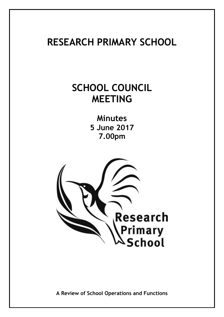# **RESEARCH PRIMARY SCHOOL**

# **SCHOOL COUNCIL MEETING**

**Minutes 5 June 2017 7.00pm**



**A Review of School Operations and Functions**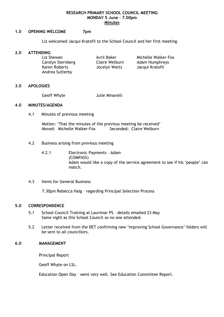#### **RESEARCH PRIMARY SCHOOL COUNCIL MEETING MONDAY 5 June – 7.00pm Minutes**

#### **1.0 OPENING WELCOME 7pm**

Liz welcomed Jacqui Kratofil to the School Council and her first meeting.

#### **2.0 ATTENDING**

Carolyn Sternberg Claire Welburn Adam Humphreys Karen Roberts Jocelyn Watts Jacqui Kratofil Andrea Sutterby

Liz Shewan **Avril Baker** Michelle Walker-Fox

#### **3.0 APOLOGIES**

Geoff Whyte **Julie Minarelli** 

#### **4.0 MINUTES/AGENDA**

4.1 Minutes of previous meeting

Motion: 'That the minutes of the previous meeting be received' Moved: Michelle Walker-Fox Seconded: Claire Welburn

- 4.2 Business arising from previous meeting
	- 4.2.1 Electronic Payments Adam (COMPASS) Adam would like a copy of the service agreement to see if his 'people' can match.
- 4.3 Items for General Business

7.30pm Rebecca Haig – regarding Principal Selection Process

## **5.0 CORRESPONDENCE**

- 5.1 School Council Training at Laurimar PS details emailed 23 May Same night as this School Council so no one attended.
- 5.2 Letter received from the DET confirming new 'Improving School Governance' folders will be sent to all councillors.

#### **6.0 MANAGEMENT**

Principal Report

Geoff Whyte on LSL.

Education Open Day – went very well. See Education Committee Report.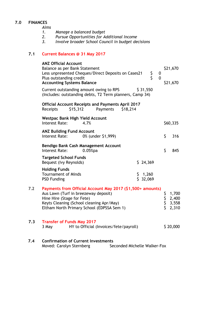# **7.0 FINANCES**

*Aims* 

- *1. Manage a balanced budget*
- *2. Pursue Opportunities for Additional Income*
- *3. Involve broader School Council in budget decisions*

# **7.1 Current Balances @ 31 May 2017**

|     | <b>ANZ Official Account</b><br>Balance as per Bank Statement<br>\$<br>\$<br>Less unpresented Cheques/Direct Deposits on Cases21<br>0<br>Plus outstanding credit<br>$\mathbf 0$<br><b>Accounting Systems Balance</b>        |     | \$21,670<br>\$21,670             |
|-----|----------------------------------------------------------------------------------------------------------------------------------------------------------------------------------------------------------------------------|-----|----------------------------------|
|     | \$31,550<br>Current outstanding amount owing to RPS<br>(Includes: outstanding debts, T2 Term planners, Camp 34)                                                                                                            |     |                                  |
|     | <b>Official Account Receipts and Payments April 2017</b><br>Receipts<br>\$15,312<br>Payments<br>\$18,214                                                                                                                   |     |                                  |
|     | <b>Westpac Bank High Yield Account</b><br>Interest Rate:<br>4.7%                                                                                                                                                           |     | \$60,335                         |
|     | <b>ANZ Building Fund Account</b><br>0% (under \$1,999)<br>Interest Rate:                                                                                                                                                   | \$  | 316                              |
|     | Bendigo Bank Cash Management Account<br>Interest Rate:<br>$0.05%$ pa                                                                                                                                                       | \$  | 845                              |
|     | <b>Targeted School Funds</b><br>Bequest (Ivy Reynolds)<br>\$24,369                                                                                                                                                         |     |                                  |
|     | <b>Holding Funds</b><br><b>Tournament of Minds</b><br>1,260<br>\$.<br>\$32,069<br><b>PSD Funding</b>                                                                                                                       |     |                                  |
| 7.2 | Payments from Official Account May 2017 (\$1,500+ amounts)<br>Aus Lawn (Turf in breezeway deposit)<br>Hine Hire (Stage for Fete)<br>Keyts Cleaning (School cleaning Apr/May)<br>Eltham North Primary School (EDPSSA Sem 1) | ららら | 1,700<br>2,400<br>3,558<br>2,310 |
| 7.3 | <b>Transfer of Funds May 2017</b><br>3 May<br>HY to Official (Invoices/fete/payroll)                                                                                                                                       |     | \$20,000                         |
| 7.4 | <b>Confirmation of Current Investments</b><br>Moved: Carolyn Sternberg<br>Seconded Michelle Walker-Fox                                                                                                                     |     |                                  |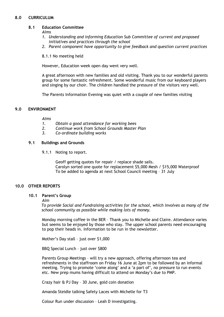### **8.0 CURRICULUM**

#### **8.1 Education Committee**

*Aims*

- *1. Understanding and informing Education Sub Committee of current and proposed initiatives and practices through the school*
- *2. Parent component have opportunity to give feedback and question current practices*
- 8.1.1 No meeting held

However, Education week open day went very well.

A great afternoon with new families and old visiting. Thank you to our wonderful parents group for some fantastic refreshment. Some wonderful music from our keyboard players and singing by our choir. The children handled the pressure of the visitors very well.

The Parents Information Evening was quiet with a couple of new families visiting

#### **9.0 ENVIRONMENT**

*Aims*

- *1. Obtain a good attendance for working bees*
- *2. Continue work from School Grounds Master Plan*
- *3. Co-ordinate building works*

#### **9.1 Buildings and Grounds**

9.1.1 Noting to report.

Geoff getting quotes for repair / replace shade sails. Carolyn sorted one quote for replacement \$5,000 Mesh / \$15,000 Waterproof To be added to agenda at next School Council meeting – 31 July

#### **10.0 OTHER REPORTS**

#### **10.1 Parent's Group**

#### *Aim*

*To provide Social and Fundraising activities for the school, which involves as many of the school community as possible while making lots of money.*

Monday morning coffee in the BER – Thank you to Michelle and Claire. Attendance varies but seems to be enjoyed by those who stay. The upper school parents need encouraging to pop their heads in. Information to be run in the newsletter.

Mother's Day stall – just over \$1,000

BBQ Special Lunch – just over \$800

Parents Group Meetings – will try a new approach, offering afternoon tea and refreshments in the staffroom on Friday 16 June at 2pm to be followed by an informal meeting. Trying to promote 'come along' and a 'a part of', no pressure to run events etc. New prep mums having difficult to attend on Monday's due to PMP.

Crazy hair & PJ Day – 30 June, gold coin donation

Amanda Steidle talking Safety Laces with Michelle for T3

Colour Run under discussion – Leah D investigating.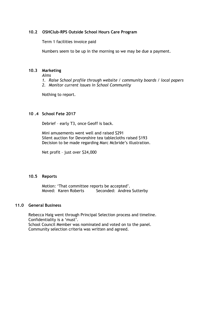#### **10.2 OSHClub-RPS Outside School Hours Care Program**

Term 1 facilities invoice paid

Numbers seem to be up in the morning so we may be due a payment.

#### **10.3 Marketing**

*Aims*

- *1. Raise School profile through website / community boards / local papers*
- *2. Monitor current issues in School Community*

Nothing to report.

## **10 .4 School Fete 2017**

Debrief – early T3, once Geoff is back.

Mini amusements went well and raised \$291 Silent auction for Devonshire tea tablecloths raised \$193 Decision to be made regarding Marc Mcbride's illustration.

Net profit – just over \$24,000

#### **10.5 Reports**

Motion: 'That committee reports be accepted'. Moved: Karen Roberts Seconded: Andrea Sutterby

#### **11.0 General Business**

Rebecca Haig went through Principal Selection process and timeline. Confidentiality is a 'must'. School Council Member was nominated and voted on to the panel. Community selection criteria was written and agreed.